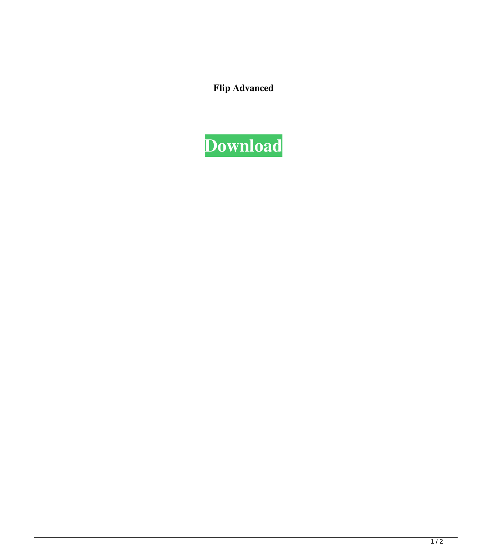**Flip Advanced**